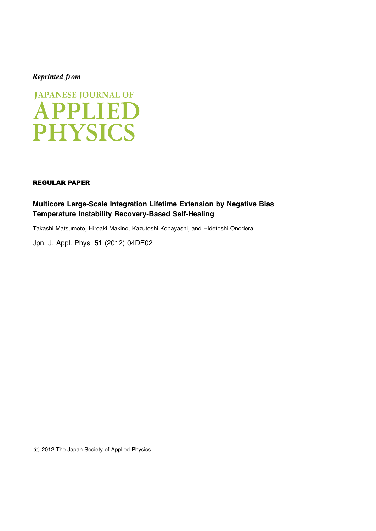## Reprinted from



### REGULAR PAPER

# Multicore Large-Scale Integration Lifetime Extension by Negative Bias Temperature Instability Recovery-Based Self-Healing

Takashi Matsumoto, Hiroaki Makino, Kazutoshi Kobayashi, and Hidetoshi Onodera

[Jpn. J. Appl. Phys.](http://dx.doi.org/10.1143/JJAP.51.04DE02) 51 (2012) 04DE02

 $\circled{c}$  2012 The Japan Society of Applied Physics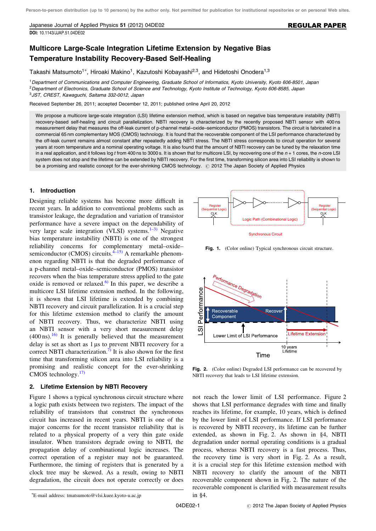Japanese Journal of Applied Physics 51 (2012) 04DE02 [DOI:](http://dx.doi.org/10.1143/JJAP.51.04DE02) [10.1143/JJAP.51.04DE02](http://dx.doi.org/10.1143/JJAP.51.04DE02)

#### REGULAR PAPER

## Multicore Large-Scale Integration Lifetime Extension by Negative Bias Temperature Instability Recovery-Based Self-Healing

Takashi Matsumoto<sup>1\*</sup>, Hiroaki Makino<sup>1</sup>, Kazutoshi Kobayashi<sup>2,3</sup>, and Hidetoshi Onodera<sup>1,3</sup>

<sup>1</sup>Department of Communications and Computer Engineering, Graduate School of Informatics, Kyoto University, Kyoto 606-8501, Japan <sup>2</sup>Department of Electronics, Graduate School of Science and Technology, Kyoto Institute of Technology, Kyoto 606-8585, Japan <sup>3</sup>JST, CREST, Kawaguchi, Saitama 332-0012, Japan

Received September 26, 2011; accepted December 12, 2011; published online April 20, 2012

We propose a multicore large-scale integration (LSI) lifetime extension method, which is based on negative bias temperature instability (NBTI) recovery-based self-healing and circuit parallelization. NBTI recovery is characterized by the recently proposed NBTI sensor with 400 ns measurement delay that measures the off-leak current of p-channel metal–oxide–semiconductor (PMOS) transistors. The circuit is fabricated in a commercial 65 nm complementary MOS (CMOS) technology. It is found that the recoverable component of the LSI performance characterized by the off-leak current remains almost constant after repeatedly adding NBTI stress. The NBTI stress corresponds to circuit operation for several years at room temperature and a nominal operating voltage. It is also found that the amount of NBTI recovery can be tuned by the relaxation time in a real application, and it follows log t from 400 ns to 3000 s. It is shown that for multicore LSI, by recovering one of the  $n + 1$  cores, the n-core LSI system does not stop and the lifetime can be extended by NBTI recovery. For the first time, transforming silicon area into LSI reliability is shown to be a promising and realistic concept for the ever-shrinking CMOS technology.  $\oslash$  2012 The Japan Society of Applied Physics

#### 1. Introduction

Designing reliable systems has become more difficult in recent years. In addition to conventional problems such as transistor leakage, the degradation and variation of transistor performance have a severe impact on the dependability of very large scale integration (VLSI) systems. $1-3$ ) Negative bias temperature instability (NBTI) is one of the strongest reliability concerns for complementary metal–oxide– semiconductor (CMOS) circuits. $4-15$  A remarkable phenomenon regarding NBTI is that the degraded performance of a p-channel metal–oxide–semiconductor (PMOS) transistor recovers when the bias temperature stress applied to the gate oxide is removed or relaxed. $6$  In this paper, we describe a multicore LSI lifetime extension method. In the following, it is shown that LSI lifetime is extended by combining NBTI recovery and circuit parallelization. It is a crucial step for this lifetime extension method to clarify the amount of NBTI recovery. Thus, we characterize NBTI using an NBTI sensor with a very short measurement delay  $(400 \text{ ns})$ .<sup>[16\)](#page-3-0)</sup> It is generally believed that the measurement delay is set as short as  $1 \mu s$  to prevent NBTI recovery for a correct NBTI characterization.<sup>[7\)](#page-3-0)</sup> It is also shown for the first time that transforming silicon area into LSI reliability is a promising and realistic concept for the ever-shrinking CMOS technology. $17$ 

#### 2. Lifetime Extension by NBTI Recovery

Figure 1 shows a typical synchronous circuit structure where a logic path exists between two registers. The impact of the reliability of transistors that construct the synchronous circuit has increased in recent years. NBTI is one of the major concerns for the recent transistor reliability that is related to a physical property of a very thin gate oxide insulator. When transistors degrade owing to NBTI, the propagation delay of combinational logic increases. The correct operation of a register may not be guaranteed. Furthermore, the timing of registers that is generated by a clock tree may be skewed. As a result, owing to NBTI degradation, the circuit does not operate correctly or does



Fig. 1. (Color online) Typical synchronous circuit structure.



Fig. 2. (Color online) Degraded LSI performance can be recovered by NBTI recovery that leads to LSI lifetime extension.

not reach the lower limit of LSI performance. Figure 2 shows that LSI performance degrades with time and finally reaches its lifetime, for example, 10 years, which is defined by the lower limit of LSI performance. If LSI performance is recovered by NBTI recovery, its lifetime can be further extended, as shown in Fig. 2. As shown in  $§4$ , NBTI degradation under normal operating conditions is a gradual process, whereas NBTI recovery is a fast process. Thus, the recovery time is very short in Fig. 2. As a result, it is a crucial step for this lifetime extension method with NBTI recovery to clarify the amount of the NBTI recoverable component shown in Fig. 2. The nature of the recoverable component is clarified with measurement results in  $§4$ .

E-mail address: tmatsumoto@vlsi.kuee.kyoto-u.ac.jp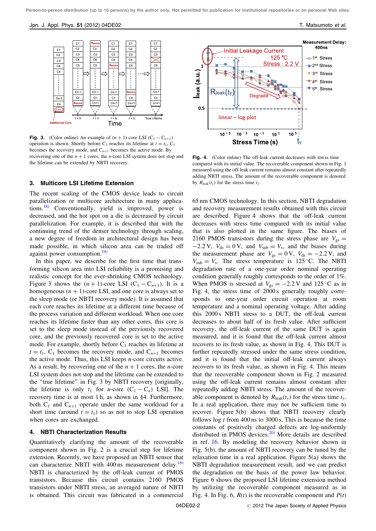#### Jpn. J. Appl. Phys. 51 (2012) 04DE02 T. Matsumoto et al.



**Fig. 3.** (Color online) An example of  $(n + 1)$ -core LSI  $(C_1 - C_{n+1})$ operation is shown. Shortly before  $C_1$  reaches its lifetime at  $t = t_1$ ,  $C_1$ becomes the recovery mode, and  $C_{n+1}$  becomes the active mode. By recovering one of the  $n + 1$  cores, the *n*-core LSI system does not stop and the lifetime can be extended by NBTI recovery.

#### 3. Multicore LSI Lifetime Extension

The recent scaling of the CMOS device leads to circuit parallelization or multicore architecture in many applications.[18\)](#page-3-0) Conventionally, yield is improved, power is decreased, and the hot spot on a die is decreased by circuit parallelization. For example, it is described that with the continuing trend of the denser technology through scaling, a new degree of freedom in architectural design has been made possible, in which silicon area can be traded off against power consumption.<sup>[19\)](#page-3-0)</sup>

In this paper, we describe for the first time that transforming silicon area into LSI reliability is a promising and realistic concept for the ever-shrinking CMOS technology. Figure 3 shows the  $(n + 1)$ -core LSI  $(C_1 - C_{n+1})$ . It is a homogeneous  $(n + 1)$ -core LSI, and one core is always set to the sleep mode (or NBTI recovery mode). It is assumed that each core reaches its lifetime at a different time because of the process variation and different workload. When one core reaches its lifetime faster than any other cores, this core is set to the sleep mode instead of the previously recovered core, and the previously recovered core is set to the active mode. For example, shortly before  $C_1$  reaches its lifetime at  $t = t_1$ , C<sub>1</sub> becomes the recovery mode, and C<sub>n+1</sub> becomes the active mode. Thus, this LSI keeps n-core circuits active. As a result, by recovering one of the  $n + 1$  cores, the *n*-core LSI system does not stop and the lifetime can be extended to the "true lifetime" in Fig. 3 by NBTI recovery [originally, the lifetime is only  $t_1$  for *n*-core  $(C_1 - C_n)$  LSI]. The recovery time is at most  $1 h$ , as shown in §4. Furthermore, both  $C_1$  and  $C_{n+1}$  operate under the same workload for a short time (around  $t = t_1$ ) so as not to stop LSI operation when cores are exchanged.

### 4. NBTI Characterization Results

Quantitatively clarifying the amount of the recoverable component shown in Fig. 2 is a crucial step for lifetime extension. Recently, we have proposed an NBTI sensor that can characterize NBTI with  $400 \text{ ns}$  measurement delay.<sup>[16\)](#page-3-0)</sup> NBTI is characterized by the off-leak current of PMOS transistors. Because this circuit contains 2160 PMOS transistors under NBTI stress, an averaged nature of NBTI is obtained. This circuit was fabricated in a commercial



Fig. 4. (Color online) The off-leak current decreases with stress time compared with its initial value. The recoverable component shown in Fig. 1 measured using the off-leak current remains almost constant after repeatedly adding NBTI stress. The amount of the recoverable component is denoted by  $R_{\text{leak}}(t_y)$  for the stress time  $t_y$ .

65 nm CMOS technology. In this section, NBTI degradation and recovery measurement results obtained with this circuit are described. Figure 4 shows that the off-leak current decreases with stress time compared with its initial value that is also plotted in the same figure. The biases of 2160 PMOS transistors during the stress phase are  $V_{gs}$  =  $-2.2$  V,  $V_{ds} = 0$  V, and  $V_{sub} = V_s$ , and the biases during the measurement phase are  $V_{gs} = 0 \text{ V}$ ,  $V_{ds} = -2.2 \text{ V}$ , and  $V_{sub} = V_s$ . The stress temperature is 125 °C. The NBTI degradation rate of a one-year order nominal operating condition generally roughly corresponds to the order of 1%. When PMOS is stressed at  $V_{gs} = -2.2$  V and 125 °C as in Fig. 4, the stress time of 2000 s generally roughly corresponds to one-year order circuit operation at room temperature and a nominal operating voltage. After adding this 2000 s NBTI stress to a DUT, the off-leak current decreases to about half of its fresh value. After sufficient recovery, the off-leak current of the same DUT is again measured, and it is found that the off-leak current almost recovers to its fresh value, as shown in Fig. 4. This DUT is further repeatedly stressed under the same stress condition, and it is found that the initial off-leak current always recovers to its fresh value, as shown in Fig. 4. This means that the recoverable component shown in Fig. 2 measured using the off-leak current remains almost constant after repeatedly adding NBTI stress. The amount of the recoverable component is denoted by  $R_{\text{leak}}(t_v)$  for the stress time  $t_v$ . In a real application, there may not be sufficient time to recover. Figure 5(b) shows that NBTI recovery clearly follows  $\log t$  from 400 ns to 3000 s. This is because the time constants of positively charged defects are log-uniformly distributed in PMOS devices.<sup>[20\)](#page-3-0)</sup> More details are described in ref. [16.](#page-3-0) By modeling the recovery behavior shown in Fig. 5(b), the amount of NBTI recovery can be tuned by the relaxation time in a real application. Figure 5(a) shows the NBTI degradation measurement result, and we can predict the degradation on the basis of the power law behavior. Figure 6 shows the proposed LSI lifetime extension method by utilizing the recoverable component measured as in Fig. 4. In Fig. 6,  $R(t)$  is the recoverable component and  $P(t)$